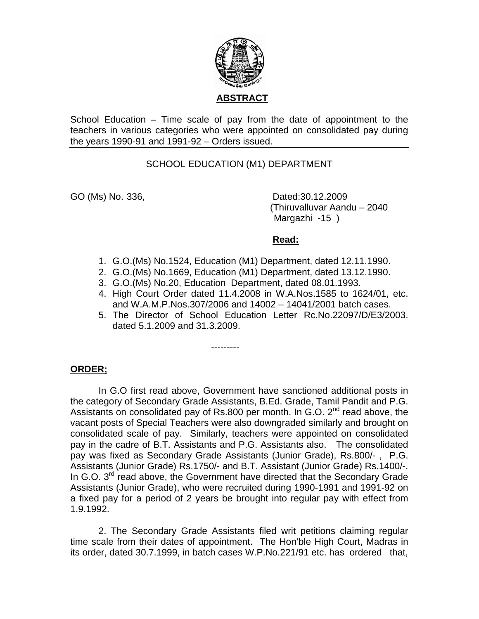

School Education – Time scale of pay from the date of appointment to the teachers in various categories who were appointed on consolidated pay during the years 1990-91 and 1991-92 – Orders issued.

## SCHOOL EDUCATION (M1) DEPARTMENT

GO (Ms) No. 336, Dated:30.12.2009 (Thiruvalluvar Aandu – 2040 Margazhi -15 )

### **Read:**

- 1. G.O.(Ms) No.1524, Education (M1) Department, dated 12.11.1990.
- 2. G.O.(Ms) No.1669, Education (M1) Department, dated 13.12.1990.
- 3. G.O.(Ms) No.20, Education Department, dated 08.01.1993.

---------

- 4. High Court Order dated 11.4.2008 in W.A.Nos.1585 to 1624/01, etc. and W.A.M.P.Nos.307/2006 and 14002 – 14041/2001 batch cases.
- 5. The Director of School Education Letter Rc.No.22097/D/E3/2003. dated 5.1.2009 and 31.3.2009.

## **ORDER;**

 In G.O first read above, Government have sanctioned additional posts in the category of Secondary Grade Assistants, B.Ed. Grade, Tamil Pandit and P.G. Assistants on consolidated pay of Rs.800 per month. In G.O.  $2^{nd}$  read above, the vacant posts of Special Teachers were also downgraded similarly and brought on consolidated scale of pay. Similarly, teachers were appointed on consolidated pay in the cadre of B.T. Assistants and P.G. Assistants also. The consolidated pay was fixed as Secondary Grade Assistants (Junior Grade), Rs.800/- , P.G. Assistants (Junior Grade) Rs.1750/- and B.T. Assistant (Junior Grade) Rs.1400/-. In G.O. 3<sup>rd</sup> read above, the Government have directed that the Secondary Grade Assistants (Junior Grade), who were recruited during 1990-1991 and 1991-92 on a fixed pay for a period of 2 years be brought into regular pay with effect from 1.9.1992.

2. The Secondary Grade Assistants filed writ petitions claiming regular time scale from their dates of appointment. The Hon'ble High Court, Madras in its order, dated 30.7.1999, in batch cases W.P.No.221/91 etc. has ordered that,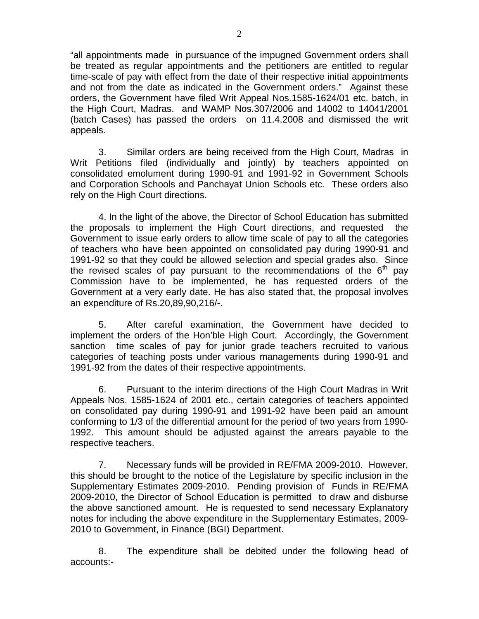"all appointments made in pursuance of the impugned Government orders shall be treated as regular appointments and the petitioners are entitled to regular time-scale of pay with effect from the date of their respective initial appointments and not from the date as indicated in the Government orders." Against these orders, the Government have filed Writ Appeal Nos.1585-1624/01 etc. batch, in the High Court, Madras. and WAMP Nos.307/2006 and 14002 to 14041/2001 (batch Cases) has passed the orders on 11.4.2008 and dismissed the writ appeals.

3. Similar orders are being received from the High Court, Madras in Writ Petitions filed (individually and jointly) by teachers appointed on consolidated emolument during 1990-91 and 1991-92 in Government Schools and Corporation Schools and Panchayat Union Schools etc. These orders also rely on the High Court directions.

4. In the light of the above, the Director of School Education has submitted the proposals to implement the High Court directions, and requested the Government to issue early orders to allow time scale of pay to all the categories of teachers who have been appointed on consolidated pay during 1990-91 and 1991-92 so that they could be allowed selection and special grades also. Since the revised scales of pay pursuant to the recommendations of the  $6<sup>th</sup>$  pay Commission have to be implemented, he has requested orders of the Government at a very early date. He has also stated that, the proposal involves an expenditure of Rs.20,89,90,216/-.

 5. After careful examination, the Government have decided to implement the orders of the Hon'ble High Court. Accordingly, the Government sanction time scales of pay for junior grade teachers recruited to various categories of teaching posts under various managements during 1990-91 and 1991-92 from the dates of their respective appointments.

 6. Pursuant to the interim directions of the High Court Madras in Writ Appeals Nos. 1585-1624 of 2001 etc., certain categories of teachers appointed on consolidated pay during 1990-91 and 1991-92 have been paid an amount conforming to 1/3 of the differential amount for the period of two years from 1990- 1992. This amount should be adjusted against the arrears payable to the respective teachers.

 7. Necessary funds will be provided in RE/FMA 2009-2010. However, this should be brought to the notice of the Legislature by specific inclusion in the Supplementary Estimates 2009-2010. Pending provision of Funds in RE/FMA 2009-2010, the Director of School Education is permitted to draw and disburse the above sanctioned amount. He is requested to send necessary Explanatory notes for including the above expenditure in the Supplementary Estimates, 2009- 2010 to Government, in Finance (BGI) Department.

 8. The expenditure shall be debited under the following head of accounts:-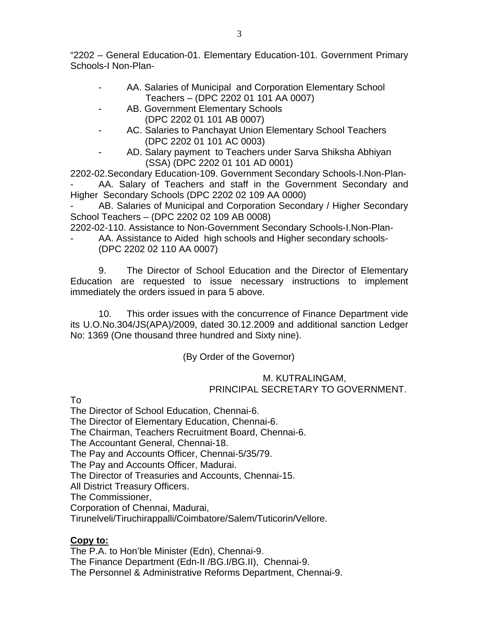"2202 – General Education-01. Elementary Education-101. Government Primary Schools-I Non-Plan-

- AA. Salaries of Municipal and Corporation Elementary School Teachers – (DPC 2202 01 101 AA 0007)
- AB. Government Elementary Schools (DPC 2202 01 101 AB 0007)
- AC. Salaries to Panchayat Union Elementary School Teachers (DPC 2202 01 101 AC 0003)
- AD. Salary payment to Teachers under Sarva Shiksha Abhiyan (SSA) (DPC 2202 01 101 AD 0001)

2202-02.Secondary Education-109. Government Secondary Schools-I.Non-Plan- AA. Salary of Teachers and staff in the Government Secondary and Higher Secondary Schools (DPC 2202 02 109 AA 0000)

AB. Salaries of Municipal and Corporation Secondary / Higher Secondary School Teachers – (DPC 2202 02 109 AB 0008)

2202-02-110. Assistance to Non-Government Secondary Schools-I.Non-Plan-

AA. Assistance to Aided high schools and Higher secondary schools-(DPC 2202 02 110 AA 0007)

 9. The Director of School Education and the Director of Elementary Education are requested to issue necessary instructions to implement immediately the orders issued in para 5 above.

 10. This order issues with the concurrence of Finance Department vide its U.O.No.304/JS(APA)/2009, dated 30.12.2009 and additional sanction Ledger No: 1369 (One thousand three hundred and Sixty nine).

(By Order of the Governor)

## M. KUTRALINGAM, PRINCIPAL SECRETARY TO GOVERNMENT.

To

The Director of School Education, Chennai-6.

The Director of Elementary Education, Chennai-6.

The Chairman, Teachers Recruitment Board, Chennai-6.

The Accountant General, Chennai-18.

The Pay and Accounts Officer, Chennai-5/35/79.

The Pay and Accounts Officer, Madurai.

The Director of Treasuries and Accounts, Chennai-15.

All District Treasury Officers.

The Commissioner,

Corporation of Chennai, Madurai,

Tirunelveli/Tiruchirappalli/Coimbatore/Salem/Tuticorin/Vellore.

# **Copy to:**

The P.A. to Hon'ble Minister (Edn), Chennai-9. The Finance Department (Edn-II /BG.I/BG.II), Chennai-9. The Personnel & Administrative Reforms Department, Chennai-9.